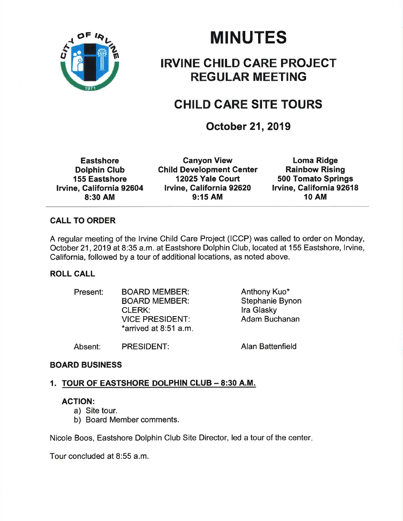

# MINUTES

### IRVINE CHILD GARE PROJECT REGULAR MEETING

## CHILD CARE SITE TOURS

### October 21, 2019

**Eastshore** Dolphin Club 155 Eastshore lrvine, California 92604 8:30 AM

Ganyon View **Child Development Center** 12025 Yale Court lrvine, Galifornia 92620 9:15 AM

Loma Ridge Rainbow Rising 500 Tomato Springs Irvine, California 92618 1O AM

#### CALL TO ORDER

A regular meeting of the lrvine Child Care Project (ICCP) was called to order on Monday, October 21 ,2019 at 8:35 a.m. at Eastshore Dolphin Club, located at 155 Eastshore, lrvine, California, followed by a tour of additional locations, as noted above.

#### ROLL CALL

| Present: | <b>BOARD MEMBER:</b><br><b>BOARD MEMBER:</b><br><b>CLERK:</b><br><b>VICE PRESIDENT:</b><br>$*$ arrived at 8:51 a.m. | Anthony Kuo*<br>Stephanie Bynon<br>Ira Glasky<br>Adam Buchanan |
|----------|---------------------------------------------------------------------------------------------------------------------|----------------------------------------------------------------|
| Absent:  | <b>PRESIDENT:</b>                                                                                                   | <b>Alan Battenfield</b>                                        |

#### BOARD BUSINESS

#### 1. TOUR OF EASTSHORE DOLPHIN CLUB - 8:30 A.M.

#### AGTION:

- a) Site tour.
- b) Board Member comments.

Nicole Boos, Eastshore Dolphin Club Site Director, led a tour of the center

Tour concluded at 8:55 a.m.